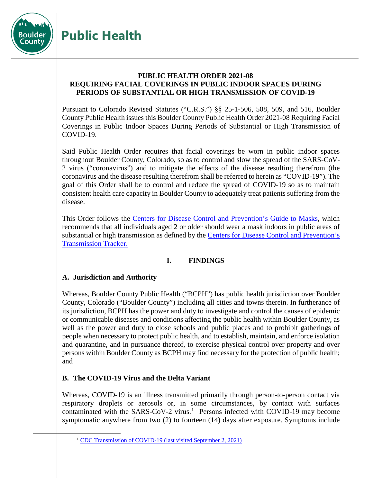

# **Public Health**

## **PUBLIC HEALTH ORDER 2021-08 REQUIRING FACIAL COVERINGS IN PUBLIC INDOOR SPACES DURING PERIODS OF SUBSTANTIAL OR HIGH TRANSMISSION OF COVID-19**

Pursuant to Colorado Revised Statutes ("C.R.S.") §§ 25-1-506, 508, 509, and 516, Boulder County Public Health issues this Boulder County Public Health Order 2021-08 Requiring Facial Coverings in Public Indoor Spaces During Periods of Substantial or High Transmission of COVID-19.

Said Public Health Order requires that facial coverings be worn in public indoor spaces throughout Boulder County, Colorado, so as to control and slow the spread of the SARS-CoV-2 virus ("coronavirus") and to mitigate the effects of the disease resulting therefrom (the coronavirus and the disease resulting therefrom shall be referred to herein as "COVID-19"). The goal of this Order shall be to control and reduce the spread of COVID-19 so as to maintain consistent health care capacity in Boulder County to adequately treat patients suffering from the disease.

This Order follows the Centers for Disease Control [and Prevention's Guide to Masks,](https://www.cdc.gov/coronavirus/2019-ncov/prevent-getting-sick/about-face-coverings.html) which recommends that all individuals aged 2 or older should wear a mask indoors in public areas of substantial or high transmission as defined by the Centers [for Disease Control](https://covid.cdc.gov/covid-data-tracker/#county-view) and Prevention's [Transmission Tracker.](https://covid.cdc.gov/covid-data-tracker/#county-view)

# **I. FINDINGS**

## **A. Jurisdiction and Authority**

Whereas, Boulder County Public Health ("BCPH") has public health jurisdiction over Boulder County, Colorado ("Boulder County") including all cities and towns therein. In furtherance of its jurisdiction, BCPH has the power and duty to investigate and control the causes of epidemic or communicable diseases and conditions affecting the public health within Boulder County, as well as the power and duty to close schools and public places and to prohibit gatherings of people when necessary to protect public health, and to establish, maintain, and enforce isolation and quarantine, and in pursuance thereof, to exercise physical control over property and over persons within Boulder County as BCPH may find necessary for the protection of public health; and

# **B. The COVID-19 Virus and the Delta Variant**

Whereas, COVID-19 is an illness transmitted primarily through person-to-person contact via respiratory droplets or aerosols or, in some circumstances, by contact with surfaces contaminated with the SARS-CoV-2 virus. [1](#page-0-0) Persons infected with COVID-19 may become symptomatic anywhere from two (2) to fourteen (14) days after exposure. Symptoms include

<span id="page-0-0"></span><sup>&</sup>lt;sup>1</sup> [CDC Transmission of COVID-19](https://www.cdc.gov/coronavirus/2019-ncov/transmission/index.html) (last visited September 2, 2021)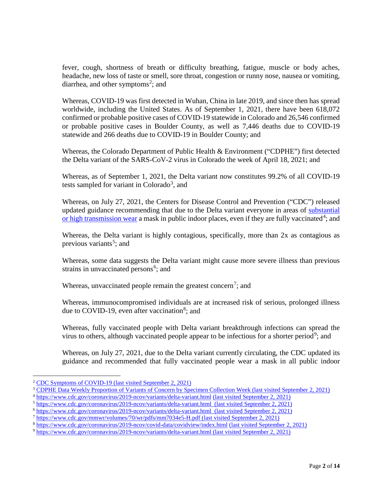fever, cough, shortness of breath or difficulty breathing, fatigue, muscle or body aches, headache, new loss of taste or smell, sore throat, congestion or runny nose, nausea or vomiting, diarrhea, and other symptoms<sup>[2](#page-1-0)</sup>; and

Whereas, COVID-19 was first detected in Wuhan, China in late 2019, and since then has spread worldwide, including the United States. As of September 1, 2021, there have been 618,072 confirmed or probable positive cases of COVID-19 statewide in Colorado and 26,546 confirmed or probable positive cases in Boulder County, as well as 7,446 deaths due to COVID-19 statewide and 266 deaths due to COVID-19 in Boulder County; and

Whereas, the Colorado Department of Public Health & Environment ("CDPHE") first detected the Delta variant of the SARS-CoV-2 virus in Colorado the week of April 18, 2021; and

Whereas, as of September 1, 2021, the Delta variant now constitutes 99.2% of all COVID-19 tests sampled for variant in Colorado<sup>[3](#page-1-1)</sup>, and

Whereas, on July 27, 2021, the Centers for Disease Control and Prevention ("CDC") released updated guidance recommending that due to the Delta variant everyone in areas of [substantial](https://covid.cdc.gov/covid-data-tracker/#county-view)  [or high transmission wear](https://covid.cdc.gov/covid-data-tracker/#county-view) a mask in public indoor places, even if they are fully vaccinated<sup>[4](#page-1-2)</sup>; and

Whereas, the Delta variant is highly contagious, specifically, more than 2x as contagious as previous variants<sup>[5](#page-1-3)</sup>; and

Whereas, some data suggests the Delta variant might cause more severe illness than previous strains in unvaccinated persons<sup>[6](#page-1-4)</sup>; and

Whereas, unvaccinated people remain the greatest concern<sup>[7](#page-1-5)</sup>; and

Whereas, immunocompromised individuals are at increased risk of serious, prolonged illness due to COVID-19, even after vaccination<sup>[8](#page-1-6)</sup>; and

Whereas, fully vaccinated people with Delta variant breakthrough infections can spread the virus to others, although vaccinated people appear to be infectious for a shorter period<sup>[9](#page-1-7)</sup>; and

Whereas, on July 27, 2021, due to the Delta variant currently circulating, the CDC updated its guidance and recommended that fully vaccinated people wear a mask in all public indoor

<span id="page-1-0"></span><sup>&</sup>lt;sup>2</sup> CDC Symptoms of COVID-19 [\(last visited September 2, 2021\)](https://www.cdc.gov/coronavirus/2019-ncov/symptoms-testing/symptoms.html)

<span id="page-1-1"></span><sup>3</sup> [CDPHE Data Weekly Proportion of Variants of Concern by Specimen Collection Week](https://covid19.colorado.gov/data) (last visited September 2, 2021)

<span id="page-1-2"></span><sup>4</sup> <https://www.cdc.gov/coronavirus/2019-ncov/variants/delta-variant.html> (last visited September 2, 2021)

<span id="page-1-3"></span><sup>5</sup> <https://www.cdc.gov/coronavirus/2019-ncov/variants/delta-variant.html>(last visited September 2, 2021)

<span id="page-1-4"></span><sup>6</sup> <https://www.cdc.gov/coronavirus/2019-ncov/variants/delta-variant.html>(last visited September 2, 2021)

<span id="page-1-5"></span><sup>7</sup> <https://www.cdc.gov/mmwr/volumes/70/wr/pdfs/mm7034e5-H.pdf> (last visited September 2, 2021)

<span id="page-1-6"></span><sup>8</sup> <https://www.cdc.gov/coronavirus/2019-ncov/covid-data/covidview/index.html> (last visited September 2, 2021)

<span id="page-1-7"></span><sup>9</sup> <https://www.cdc.gov/coronavirus/2019-ncov/variants/delta-variant.html> (last visited September 2, 2021)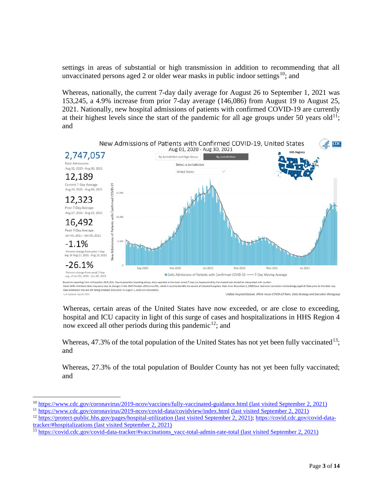settings in areas of substantial or high transmission in addition to recommending that all unvaccinated persons aged 2 or older wear masks in public indoor settings<sup>10</sup>; and

Whereas, nationally, the current 7-day daily average for August 26 to September 1, 2021 was 153,245, a 4.9% increase from prior 7-day average (146,086) from August 19 to August 25, 2021. Nationally, new hospital admissions of patients with confirmed COVID-19 are currently at their highest levels since the start of the pandemic for all age groups under 50 years old<sup>11</sup>; and



Whereas, certain areas of the United States have now exceeded, or are close to exceeding, hospital and ICU capacity in light of this surge of cases and hospitalizations in HHS Region 4 now exceed all other periods during this pandemic<sup>12</sup>; and

Whereas,  $47.3\%$  of the total population of the United States has not yet been fully vaccinated<sup>13</sup>; and

Whereas, 27.3% of the total population of Boulder County has not yet been fully vaccinated; and

<span id="page-2-0"></span> <sup>10</sup> <https://www.cdc.gov/coronavirus/2019-ncov/vaccines/fully-vaccinated-guidance.html> (last visited September 2, 2021)

<span id="page-2-1"></span><sup>11</sup> <https://www.cdc.gov/coronavirus/2019-ncov/covid-data/covidview/index.html> (last visited September 2, 2021)

<span id="page-2-2"></span><sup>&</sup>lt;sup>12</sup> <https://protect-public.hhs.gov/pages/hospital-utilization> (last visited September 2, 2021); https://covid.cdc.gov/covid-data-<br>tracker/#hospitalizations (last visited September 2, 2021)

<span id="page-2-3"></span><sup>&</sup>lt;sup>13</sup> [https://covid.cdc.gov/covid-data-tracker/#vaccinations\\_vacc-total-admin-rate-total](https://covid.cdc.gov/covid-data-tracker/#vaccinations_vacc-total-admin-rate-total) (last visited September 2, 2021)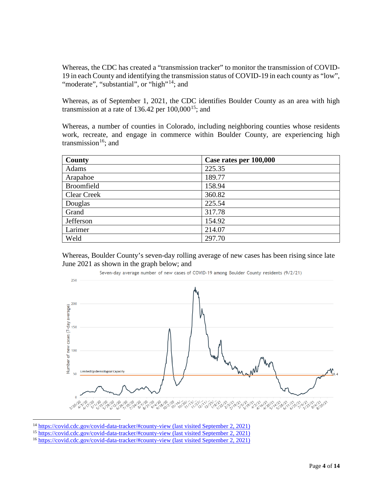Whereas, the CDC has created a "transmission tracker" to monitor the transmission of COVID-19 in each County and identifying the transmission status of COVID-19 in each county as "low", "moderate", "substantial", or "high"<sup>[14](#page-3-0)</sup>; and

Whereas, as of September 1, 2021, the CDC identifies Boulder County as an area with high transmission at a rate of 136.42 per  $100,000^{15}$ ; and

Whereas, a number of counties in Colorado, including neighboring counties whose residents work, recreate, and engage in commerce within Boulder County, are experiencing high transmission $16$ ; and

| <b>County</b>      | Case rates per 100,000 |
|--------------------|------------------------|
| <b>Adams</b>       | 225.35                 |
| Arapahoe           | 189.77                 |
| <b>Broomfield</b>  | 158.94                 |
| <b>Clear Creek</b> | 360.82                 |
| Douglas            | 225.54                 |
| Grand              | 317.78                 |
| Jefferson          | 154.92                 |
| Larimer            | 214.07                 |
| Weld               | 297.70                 |

Whereas, Boulder County's seven-day rolling average of new cases has been rising since late June 2021 as shown in the graph below; and



<span id="page-3-0"></span><sup>&</sup>lt;sup>14</sup> <https://covid.cdc.gov/covid-data-tracker/#county-view> (last visited September 2, 2021)

<span id="page-3-1"></span><sup>&</sup>lt;sup>15</sup> <https://covid.cdc.gov/covid-data-tracker/#county-view> (last visited September 2, 2021)

<span id="page-3-2"></span><sup>16</sup> <https://covid.cdc.gov/covid-data-tracker/#county-view> (last visited September 2, 2021)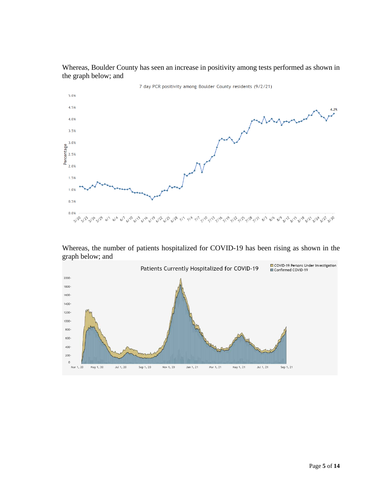

Whereas, Boulder County has seen an increase in positivity among tests performed as shown in the graph below; and

Whereas, the number of patients hospitalized for COVID-19 has been rising as shown in the graph below; and

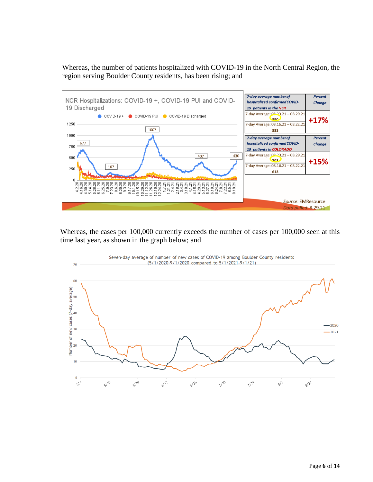Whereas, the number of patients hospitalized with COVID-19 in the North Central Region, the region serving Boulder County residents, has been rising; and



Whereas, the cases per 100,000 currently exceeds the number of cases per 100,000 seen at this time last year, as shown in the graph below; and

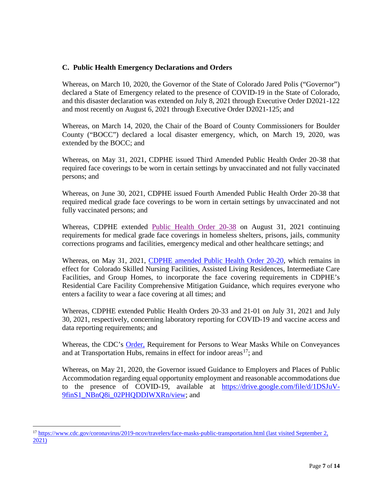### **C. Public Health Emergency Declarations and Orders**

Whereas, on March 10, 2020, the Governor of the State of Colorado Jared Polis ("Governor") declared a State of Emergency related to the presence of COVID-19 in the State of Colorado, and this disaster declaration was extended on July 8, 2021 through Executive Order D2021-122 and most recently on August 6, 2021 through Executive Order D2021-125; and

Whereas, on March 14, 2020, the Chair of the Board of County Commissioners for Boulder County ("BOCC") declared a local disaster emergency, which, on March 19, 2020, was extended by the BOCC; and

Whereas, on May 31, 2021, CDPHE issued Third Amended Public Health Order 20-38 that required face coverings to be worn in certain settings by unvaccinated and not fully vaccinated persons; and

Whereas, on June 30, 2021, CDPHE issued Fourth Amended Public Health Order 20-38 that required medical grade face coverings to be worn in certain settings by unvaccinated and not fully vaccinated persons; and

Whereas, CDPHE extended [Public Health Order 20-38](https://drive.google.com/file/d/1FKIAWsK1iVHy7mLhTK7AhJa6WOYQnEZB/view) on August 31, 2021 continuing requirements for medical grade face coverings in homeless shelters, prisons, jails, community corrections programs and facilities, emergency medical and other healthcare settings; and

Whereas, on May 31, 2021, [CDPHE amended Public Health Order 20-20,](https://drive.google.com/file/d/1lHZKFBCWBF_CwmGNA5thIw-nu-Y-tmEo/view) which remains in effect for Colorado Skilled Nursing Facilities, Assisted Living Residences, Intermediate Care Facilities, and Group Homes, to incorporate the face covering requirements in CDPHE's Residential Care Facility Comprehensive Mitigation Guidance, which requires everyone who enters a facility to wear a face covering at all times; and

Whereas, CDPHE extended Public Health Orders 20-33 and 21-01 on July 31, 2021 and July 30, 2021, respectively, concerning laboratory reporting for COVID-19 and vaccine access and data reporting requirements; and

Whereas, the CDC's **Order**, Requirement for Persons to Wear Masks While on Conveyances and at Transportation Hubs, remains in effect for indoor areas<sup>[17](#page-6-0)</sup>; and

Whereas, on May 21, 2020, the Governor issued Guidance to Employers and Places of Public Accommodation regarding equal opportunity employment and reasonable accommodations due to the presence of COVID-19, available at [https://drive.google.com/file/d/1DSJuV-](https://drive.google.com/file/d/1DSJuV-9finS1_NBnQ8i_02PHQDDIWXRn/view)[9finS1\\_NBnQ8i\\_02PHQDDIWXRn/view;](https://drive.google.com/file/d/1DSJuV-9finS1_NBnQ8i_02PHQDDIWXRn/view) and

<span id="page-6-0"></span><sup>&</sup>lt;sup>17</sup> <https://www.cdc.gov/coronavirus/2019-ncov/travelers/face-masks-public-transportation.html> (last visited September 2, [2021\)](https://www.cdc.gov/coronavirus/2019-ncov/travelers/face-masks-public-transportation.html)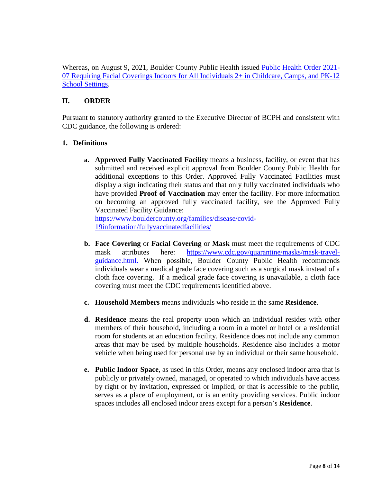Whereas, on August 9, 2021, Boulder County Public Health issued [Public Health](https://assets.bouldercounty.org/wp-content/uploads/2021/08/2021-7-Requiring-Face-Coverings-Indoors-in-Childcare-and-K-12-School-Settings.pdf) Order 2021- 07 [Requiring Facial Coverings Indoors for All Individuals 2+ in Childcare, Camps, and PK-12](https://assets.bouldercounty.org/wp-content/uploads/2021/08/2021-7-Requiring-Face-Coverings-Indoors-in-Childcare-and-K-12-School-Settings.pdf)  [School Settings.](https://assets.bouldercounty.org/wp-content/uploads/2021/08/2021-7-Requiring-Face-Coverings-Indoors-in-Childcare-and-K-12-School-Settings.pdf)

## **II. ORDER**

Pursuant to statutory authority granted to the Executive Director of BCPH and consistent with CDC guidance, the following is ordered:

#### **1. Definitions**

**a. Approved Fully Vaccinated Facility** means a business, facility, or event that has submitted and received explicit approval from Boulder County Public Health for additional exceptions to this Order. Approved Fully Vaccinated Facilities must display a sign indicating their status and that only fully vaccinated individuals who have provided **Proof of Vaccination** may enter the facility. For more information on becoming an approved fully vaccinated facility, see the Approved Fully Vaccinated Facility Guidance: [https://www.bouldercounty.org/families/disease/covid-](https://www.bouldercounty.org/families/disease/covid-19information/fullyvaccinatedfacilities/)

[19information/fullyvaccinatedfacilities/](https://www.bouldercounty.org/families/disease/covid-19information/fullyvaccinatedfacilities/)

- **b. Face Covering** or **Facial Covering** or **Mask** must meet the requirements of CDC mask attributes here: [https://www.cdc.gov/quarantine/masks/mask-travel](https://www.cdc.gov/quarantine/masks/mask-travel-guidance.html)[guidance.html.](https://www.cdc.gov/quarantine/masks/mask-travel-guidance.html) When possible, Boulder County Public Health recommends individuals wear a medical grade face covering such as a surgical mask instead of a cloth face covering. If a medical grade face covering is unavailable, a cloth face covering must meet the CDC requirements identified above.
- **c. Household Members** means individuals who reside in the same **Residence**.
- **d. Residence** means the real property upon which an individual resides with other members of their household, including a room in a motel or hotel or a residential room for students at an education facility. Residence does not include any common areas that may be used by multiple households. Residence also includes a motor vehicle when being used for personal use by an individual or their same household.
- **e. Public Indoor Space**, as used in this Order, means any enclosed indoor area that is publicly or privately owned, managed, or operated to which individuals have access by right or by invitation, expressed or implied, or that is accessible to the public, serves as a place of employment, or is an entity providing services. Public indoor spaces includes all enclosed indoor areas except for a person's **Residence**.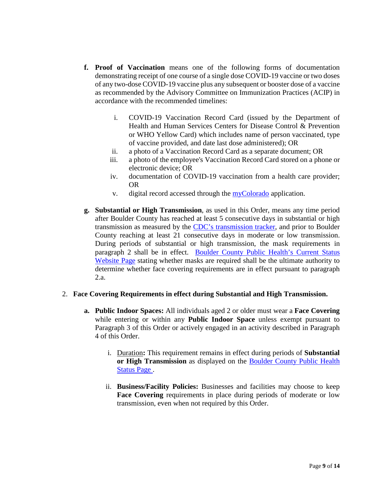- **f. Proof of Vaccination** means one of the following forms of documentation demonstrating receipt of one course of a single dose COVID-19 vaccine or two doses of any two-dose COVID-19 vaccine plus any subsequent or booster dose of a vaccine as recommended by the Advisory Committee on Immunization Practices (ACIP) in accordance with the recommended timelines:
	- i. COVID-19 Vaccination Record Card (issued by the Department of Health and Human Services Centers for Disease Control & Prevention or WHO Yellow Card) which includes name of person vaccinated, type of vaccine provided, and date last dose administered); OR
	- ii. a photo of a Vaccination Record Card as a separate document; OR
	- iii. a photo of the employee's Vaccination Record Card stored on a phone or electronic device; OR
	- iv. documentation of COVID-19 vaccination from a health care provider; OR
	- v. digital record accessed through the [myColorado](https://mycolorado.state.co.us/myvaccine-record) application.
- **g. Substantial or High Transmission**, as used in this Order, means any time period after Boulder County has reached at least 5 consecutive days in substantial or high transmission as measured by the [CDC's transmission tracker,](https://covid.cdc.gov/covid-data-tracker/#county-view) and prior to Boulder County reaching at least 21 consecutive days in moderate or low transmission. During periods of substantial or high transmission, the mask requirements in paragraph 2 shall be in effect. [Boulder County Public Health's Current Status](https://www.bouldercounty.org/families/disease/covid-19-information/boulder-county-status/)  [Website Page](https://www.bouldercounty.org/families/disease/covid-19-information/boulder-county-status/) stating whether masks are required shall be the ultimate authority to determine whether face covering requirements are in effect pursuant to paragraph 2.a.

#### 2. **Face Covering Requirements in effect during Substantial and High Transmission.**

- **a. Public Indoor Spaces:** All individuals aged 2 or older must wear a **Face Covering** while entering or within any **Public Indoor Space** unless exempt pursuant to Paragraph 3 of this Order or actively engaged in an activity described in Paragraph 4 of this Order.
	- i. Duration**:** This requirement remains in effect during periods of **Substantial or High Transmission** as displayed on the [Boulder County Public Health](https://www.bouldercounty.org/families/disease/covid-19-information/boulder-county-status/)  [Status Page .](https://www.bouldercounty.org/families/disease/covid-19-information/boulder-county-status/)
	- ii. **Business/Facility Policies:** Businesses and facilities may choose to keep **Face Covering** requirements in place during periods of moderate or low transmission, even when not required by this Order.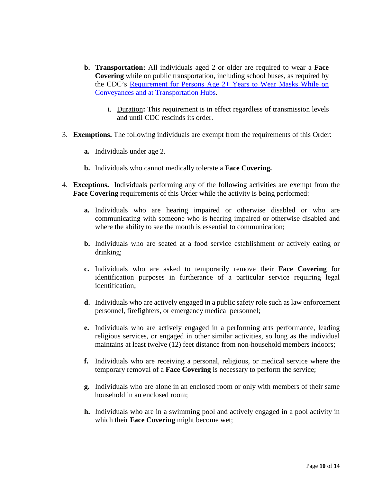- **b. Transportation:** All individuals aged 2 or older are required to wear a **Face Covering** while on public transportation, including school buses, as required by the CDC's [Requirement for Persons Age 2+ Years to Wear Masks While on](https://www.cdc.gov/quarantine/pdf/Mask-Order-CDC_GMTF_01-29-21-p.pdf)  [Conveyances and at Transportation Hubs.](https://www.cdc.gov/quarantine/pdf/Mask-Order-CDC_GMTF_01-29-21-p.pdf)
	- i. Duration**:** This requirement is in effect regardless of transmission levels and until CDC rescinds its order.
- 3. **Exemptions.** The following individuals are exempt from the requirements of this Order:
	- **a.** Individuals under age 2.
	- **b.** Individuals who cannot medically tolerate a **Face Covering.**
- 4. **Exceptions.** Individuals performing any of the following activities are exempt from the **Face Covering** requirements of this Order while the activity is being performed:
	- **a.** Individuals who are hearing impaired or otherwise disabled or who are communicating with someone who is hearing impaired or otherwise disabled and where the ability to see the mouth is essential to communication;
	- **b.** Individuals who are seated at a food service establishment or actively eating or drinking;
	- **c.** Individuals who are asked to temporarily remove their **Face Covering** for identification purposes in furtherance of a particular service requiring legal identification;
	- **d.** Individuals who are actively engaged in a public safety role such as law enforcement personnel, firefighters, or emergency medical personnel;
	- **e.** Individuals who are actively engaged in a performing arts performance, leading religious services, or engaged in other similar activities, so long as the individual maintains at least twelve (12) feet distance from non-household members indoors;
	- **f.** Individuals who are receiving a personal, religious, or medical service where the temporary removal of a **Face Covering** is necessary to perform the service;
	- **g.** Individuals who are alone in an enclosed room or only with members of their same household in an enclosed room;
	- **h.** Individuals who are in a swimming pool and actively engaged in a pool activity in which their **Face Covering** might become wet;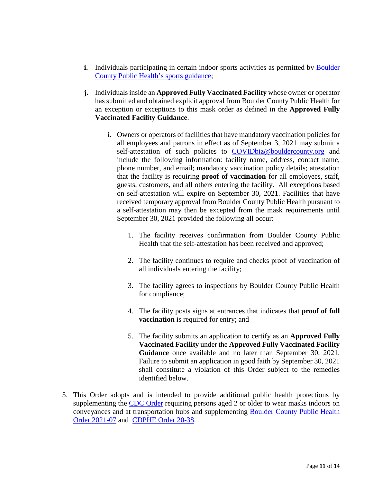- **i.** Individuals participating in certain indoor sports activities as permitted by Boulder [County Public Health's sports guidance;](https://assets.bouldercounty.org/wp-content/uploads/2021/04/2021-april2-guidance-for-boco-sports.pdf)
- **j.** Individuals inside an **Approved Fully Vaccinated Facility** whose owner or operator has submitted and obtained explicit approval from Boulder County Public Health for an exception or exceptions to this mask order as defined in the **Approved Fully Vaccinated Facility Guidance**.
	- i. Owners or operators of facilities that have mandatory vaccination policies for all employees and patrons in effect as of September 3, 2021 may submit a self-attestation of such policies to [COVIDbiz@bouldercounty.org](mailto:covidbiz@bouldercounty.org) and include the following information: facility name, address, contact name, phone number, and email; mandatory vaccination policy details; attestation that the facility is requiring **proof of vaccination** for all employees, staff, guests, customers, and all others entering the facility. All exceptions based on self-attestation will expire on September 30, 2021. Facilities that have received temporary approval from Boulder County Public Health pursuant to a self-attestation may then be excepted from the mask requirements until September 30, 2021 provided the following all occur:
		- 1. The facility receives confirmation from Boulder County Public Health that the self-attestation has been received and approved;
		- 2. The facility continues to require and checks proof of vaccination of all individuals entering the facility;
		- 3. The facility agrees to inspections by Boulder County Public Health for compliance;
		- 4. The facility posts signs at entrances that indicates that **proof of full vaccination** is required for entry; and
		- 5. The facility submits an application to certify as an **Approved Fully Vaccinated Facility** under the **Approved Fully Vaccinated Facility Guidance** once available and no later than September 30, 2021. Failure to submit an application in good faith by September 30, 2021 shall constitute a violation of this Order subject to the remedies identified below.
- 5. This Order adopts and is intended to provide additional public health protections by supplementing the [CDC Order](https://www.cdc.gov/quarantine/pdf/Mask-Order-CDC_GMTF_01-29-21-p.pdf) requiring persons aged 2 or older to wear masks indoors on conveyances and at transportation hubs and supplementing [Boulder County Public Health](https://assets.bouldercounty.org/wp-content/uploads/2021/08/2021-7-Requiring-Face-Coverings-Indoors-in-Childcare-and-K-12-School-Settings.pdf)  [Order 2021-07](https://assets.bouldercounty.org/wp-content/uploads/2021/08/2021-7-Requiring-Face-Coverings-Indoors-in-Childcare-and-K-12-School-Settings.pdf) and [CDPHE Order 20-38.](https://drive.google.com/file/d/1b3w36DgcK8pNlPz0DVibaUhhDcb-YyJH/view)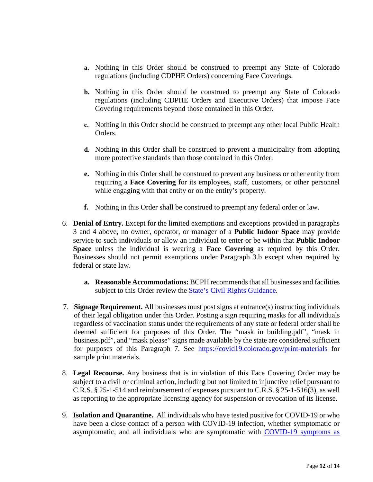- **a.** Nothing in this Order should be construed to preempt any State of Colorado regulations (including CDPHE Orders) concerning Face Coverings.
- **b.** Nothing in this Order should be construed to preempt any State of Colorado regulations (including CDPHE Orders and Executive Orders) that impose Face Covering requirements beyond those contained in this Order.
- **c.** Nothing in this Order should be construed to preempt any other local Public Health Orders.
- **d.** Nothing in this Order shall be construed to prevent a municipality from adopting more protective standards than those contained in this Order.
- **e.** Nothing in this Order shall be construed to prevent any business or other entity from requiring a **Face Covering** for its employees, staff, customers, or other personnel while engaging with that entity or on the entity's property.
- **f.** Nothing in this Order shall be construed to preempt any federal order or law.
- 6. **Denial of Entry.** Except for the limited exemptions and exceptions provided in paragraphs 3 and 4 above**,** no owner, operator, or manager of a **Public Indoor Space** may provide service to such individuals or allow an individual to enter or be within that **Public Indoor Space** unless the individual is wearing a **Face Covering** as required by this Order. Businesses should not permit exemptions under Paragraph 3.b except when required by federal or state law.
	- **a. Reasonable Accommodations:** BCPH recommends that all businesses and facilities subject to this Order review the **State's Civil Rights Guidance**.
- 7. **Signage Requirement.** All businesses must post signs at entrance(s) instructing individuals of their legal obligation under this Order. Posting a sign requiring masks for all individuals regardless of vaccination status under the requirements of any state or federal order shall be deemed sufficient for purposes of this Order. The "mask in building.pdf", "mask in business.pdf", and "mask please" signs made available by the state are considered sufficient for purposes of this Paragraph 7. See <https://covid19.colorado.gov/print-materials> for sample print materials.
- 8. **Legal Recourse.** Any business that is in violation of this Face Covering Order may be subject to a civil or criminal action, including but not limited to injunctive relief pursuant to C.R.S. § 25-1-514 and reimbursement of expenses pursuant to C.R.S. § 25-1-516(3), as well as reporting to the appropriate licensing agency for suspension or revocation of its license.
- 9. **Isolation and Quarantine.** All individuals who have tested positive for COVID-19 or who have been a close contact of a person with COVID-19 infection, whether symptomatic or asymptomatic, and all individuals who are symptomatic with [COVID-19 symptoms as](https://covid19.colorado.gov/covid19-symptoms)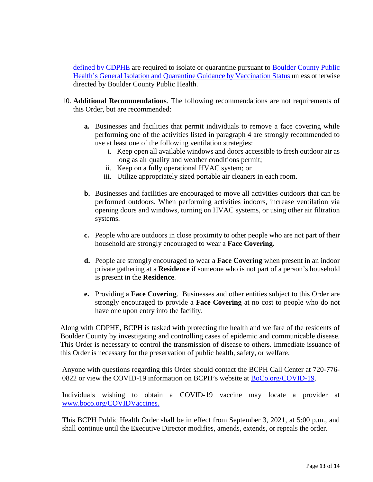[defined by CDPHE](https://covid19.colorado.gov/covid19-symptoms) are required to isolate or quarantine pursuant to [Boulder County Public](https://www.bouldercounty.org/families/disease/covid-19/symptoms-quarantine-isolation/)  [Health's General Isolation and Quarantine Guidance by Vaccination Status](https://www.bouldercounty.org/families/disease/covid-19/symptoms-quarantine-isolation/) unless otherwise directed by Boulder County Public Health.

- 10. **Additional Recommendations**. The following recommendations are not requirements of this Order, but are recommended:
	- **a.** Businesses and facilities that permit individuals to remove a face covering while performing one of the activities listed in paragraph 4 are strongly recommended to use at least one of the following ventilation strategies:
		- i. Keep open all available windows and doors accessible to fresh outdoor air as long as air quality and weather conditions permit;
		- ii. Keep on a fully operational HVAC system; or
		- iii. Utilize appropriately sized portable air cleaners in each room.
	- **b.** Businesses and facilities are encouraged to move all activities outdoors that can be performed outdoors. When performing activities indoors, increase ventilation via opening doors and windows, turning on HVAC systems, or using other air filtration systems.
	- **c.** People who are outdoors in close proximity to other people who are not part of their household are strongly encouraged to wear a **Face Covering.**
	- **d.** People are strongly encouraged to wear a **Face Covering** when present in an indoor private gathering at a **Residence** if someone who is not part of a person's household is present in the **Residence**.
	- **e.** Providing a **Face Covering**. Businesses and other entities subject to this Order are strongly encouraged to provide a **Face Covering** at no cost to people who do not have one upon entry into the facility.

Along with CDPHE, BCPH is tasked with protecting the health and welfare of the residents of Boulder County by investigating and controlling cases of epidemic and communicable disease. This Order is necessary to control the transmission of disease to others. Immediate issuance of this Order is necessary for the preservation of public health, safety, or welfare.

Anyone with questions regarding this Order should contact the BCPH Call Center at 720-776- 0822 or view the COVID-19 information on BCPH's website at **BoCo.org/COVID-19.** 

Individuals wishing to obtain a COVID-19 vaccine may locate a provider at [www.boco.org/COVIDVaccines.](http://www.boco.org/COVIDVaccines)

This BCPH Public Health Order shall be in effect from September 3, 2021, at 5:00 p.m., and shall continue until the Executive Director modifies, amends, extends, or repeals the order.